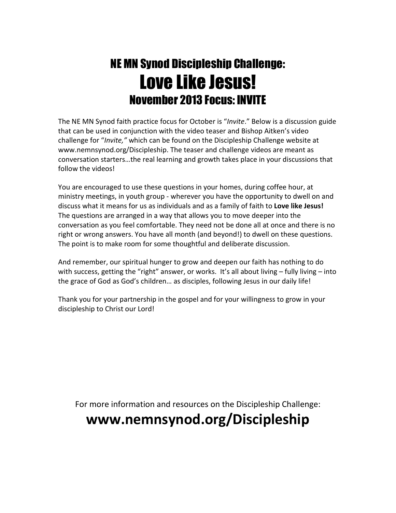# NE MN Synod Discipleship Challenge: Love Like Jesus! November 2013 Focus: INVITE

The NE MN Synod faith practice focus for October is "Invite." Below is a discussion guide that can be used in conjunction with the video teaser and Bishop Aitken's video challenge for "Invite," which can be found on the Discipleship Challenge website at www.nemnsynod.org/Discipleship. The teaser and challenge videos are meant as conversation starters…the real learning and growth takes place in your discussions that follow the videos!

You are encouraged to use these questions in your homes, during coffee hour, at ministry meetings, in youth group - wherever you have the opportunity to dwell on and discuss what it means for us as individuals and as a family of faith to Love like Jesus! The questions are arranged in a way that allows you to move deeper into the conversation as you feel comfortable. They need not be done all at once and there is no right or wrong answers. You have all month (and beyond!) to dwell on these questions. The point is to make room for some thoughtful and deliberate discussion.

And remember, our spiritual hunger to grow and deepen our faith has nothing to do with success, getting the "right" answer, or works. It's all about living – fully living – into the grace of God as God's children… as disciples, following Jesus in our daily life!

Thank you for your partnership in the gospel and for your willingness to grow in your discipleship to Christ our Lord!

For more information and resources on the Discipleship Challenge:

## www.nemnsynod.org/Discipleship